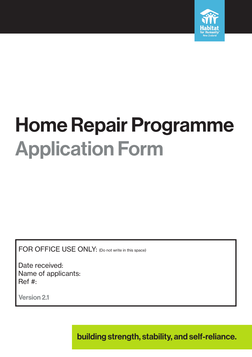

# Home Repair Programme Application Form

FOR OFFICE USE ONLY: (Do not write in this space)

 Date received: Name of applicants: Ref #:

Version 2.1

building strength, stability, and self-reliance.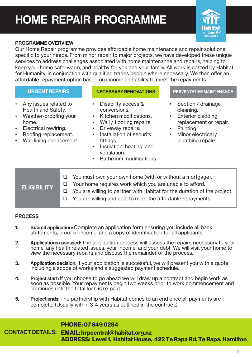## HOME REPAIR PROGRAMME



#### PROGRAMME OVERVIEW

Our Home Repair programme provides affordable home maintenance and repair solutions specific to your needs. From minor repair to major projects, we have developed these unique services to address challenges associated with home maintenance and repairs, helping to keep your home safe, warm, and healthy for you and your family. All work is costed by Habitat for Humanity, in conjunction with qualified trades people where necessary. We then offer an affordable repayment option based on income and ability to meet the repayments.

- Any issues related to Health and Safety.
- Weather-proofing your home.
- Electrical rewiring.
- Roofing replacement.
- Wall lining replacement.

- Disability access & conversions.
- Kitchen modifications.
- Wall / flooring repairs.
- Driveway repairs.
- Installation of security fittings.
- Insulation, heating, and ventilation.
- Bathroom modifications.

#### URGENT REPAIRS NECESSARY RENOVATIONS PREVENTATIVE MAINTENANCE

- Section / drainage cleaning.
- Exterior cladding replacement or repair.
- Painting.
- Minor electrical / plumbing repairs.
- **ELIGIBILITY**  $\Box$  You must own your own home (with or without a mortgage).  $\Box$  Your home requires work which you are unable to afford.  $\Box$  You are willing to partner with Habitat for the duration of the project.  $\Box$  You are willing and able to meet the affordable repayments.

#### **PROCESS**

- 1. Submit application: Complete an application form ensuring you include all bank statements, proof of income, and a copy of identification for all applicants.
- 2. Applications assessed: The application process will assess the repairs necessary to your home, any health related issues, your income, and your debt. We will visit your home to view the necessary repairs and discuss the remainder of the process.
- **3.** Application decision: If your application is successful, we will present you with a quote including a scope of works and a suggested payment schedule.
- 4. Project start: If you choose to go ahead we will draw up a contract and begin work as soon as possible. Your repayments begin two weeks prior to work commencement and continues until the total loan is re-paid.
- 5. Project ends: The partnership with Habitat comes to an end once all payments are complete. (Usually within 3-4 years as outlined in the contract.)

#### PHONE: 07 849 0284

CONTACT DETAILS: EMAIL: hrpcentral@habitat.org.nz ADDRESS: Level 1, Habitat House, 422 Te Rapa Rd, Te Rapa, Hamilton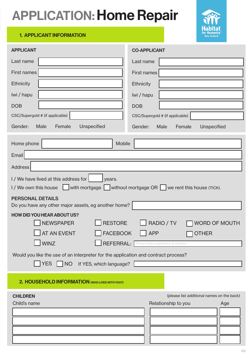## APPLICATION: Home Repair



#### 1. APPLICANT INFORMATION

| <b>APPLICANT</b>                                                                                                                                             | <b>CO-APPLICANT</b>                                                      |
|--------------------------------------------------------------------------------------------------------------------------------------------------------------|--------------------------------------------------------------------------|
| Last name                                                                                                                                                    | Last name                                                                |
| <b>First names</b>                                                                                                                                           | <b>First names</b>                                                       |
| <b>Ethnicity</b>                                                                                                                                             | <b>Ethnicity</b>                                                         |
| Iwi / hapu                                                                                                                                                   | Iwi / hapu                                                               |
| <b>DOB</b>                                                                                                                                                   | <b>DOB</b>                                                               |
| CSC/Supergold # (if applicable)                                                                                                                              | CSC/Supergold # (if applicable)                                          |
| Female<br>Unspecified<br>Gender:<br>Male                                                                                                                     | Male<br>Female<br>Gender:<br>Unspecified                                 |
| Home phone<br>Mobile                                                                                                                                         |                                                                          |
| Email                                                                                                                                                        |                                                                          |
| <b>Address</b>                                                                                                                                               |                                                                          |
| I / We have lived at this address for<br>years.<br>$1$ / We own this house $\Box$ with mortgage $\Box$ without mortgage OR $\Box$ we rent this house (TICK). |                                                                          |
| <b>PERSONAL DETAILS</b><br>Do you have any other major assets, eg another home?                                                                              |                                                                          |
| <b>HOW DID YOU HEAR ABOUT US?</b>                                                                                                                            |                                                                          |
| <b>RESTORE</b><br><b>NEWSPAPER</b>                                                                                                                           | RADIO / TV<br><b>WORD OF MOUTH</b>                                       |
| <b>FACEBOOK</b><br><b>AT AN EVENT</b>                                                                                                                        | <b>APP</b><br><b>OTHER</b>                                               |
| <b>WINZ</b>                                                                                                                                                  | REFERRAL: <sup>(Please state organisation &amp; contact.)</sup>          |
| Would you like the use of an interpreter for the application and contract process?<br><b>YES</b><br>NO If YES, which language?                               |                                                                          |
|                                                                                                                                                              |                                                                          |
| 2. HOUSEHOLD INFORMATION (WHO LIVES WITH YOU?)                                                                                                               |                                                                          |
| <b>CHILDREN</b><br>Child's name                                                                                                                              | (please list additional names on the back)<br>Relationship to you<br>Age |
|                                                                                                                                                              |                                                                          |
|                                                                                                                                                              |                                                                          |
|                                                                                                                                                              |                                                                          |
|                                                                                                                                                              |                                                                          |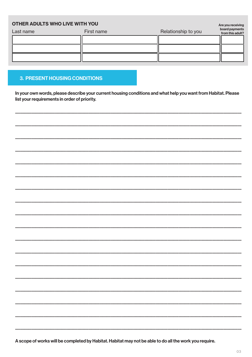### **OTHER ADULTS WHO LIVE WITH YOU** Relationship to you Last name First name

#### **3. PRESENT HOUSING CONDITIONS**

In your own words, please describe your current housing conditions and what help you want from Habitat. Please list your requirements in order of priority.

A scope of works will be completed by Habitat. Habitat may not be able to do all the work you require.

Are you receiving<br>board payments<br>from this adult?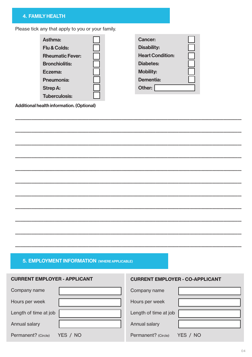#### **4. FAMILY HEALTH**

Please tick any that apply to you or your family.

| Asthma:                 | <b>Cancer:</b>          |
|-------------------------|-------------------------|
| <b>Flu &amp; Colds:</b> | <b>Disability:</b>      |
| <b>Rheumatic Fever:</b> | <b>Heart Condition:</b> |
| <b>Bronchiolitis:</b>   | <b>Diabetes:</b>        |
| Eczema:                 | <b>Mobility:</b>        |
| <b>Pneumonia:</b>       | Dementia:               |
| <b>Strep A:</b>         | Other:                  |
| <b>Tuberculosis:</b>    |                         |

Additional health information. (Optional)

#### 5. EMPLOYMENT INFORMATION (WHERE APPLICABLE)

#### **CURRENT EMPLOYER - APPLICANT**

#### **CURRENT EMPLOYER - CO-APPLICANT**

| Company name          |          | Company name                    |  |
|-----------------------|----------|---------------------------------|--|
| Hours per week        |          | Hours per week                  |  |
| Length of time at job |          | Length of time at job           |  |
| Annual salary         |          | Annual salary                   |  |
| Permanent? (Circle)   | YES / NO | Permanent? (Circle)<br>YES / NO |  |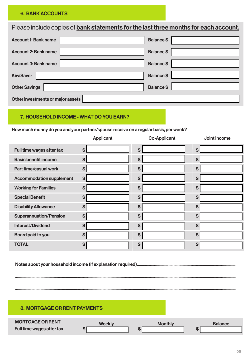#### **6. BANK ACCOUNTS**

Please include copies of bank statements for the last three months for each account.

| <b>Account 1: Bank name</b>       | <b>Balance \$</b> |
|-----------------------------------|-------------------|
| <b>Account 2: Bank name</b>       | <b>Balance \$</b> |
| <b>Account 3: Bank name</b>       | <b>Balance \$</b> |
| <b>KiwiSaver</b>                  | <b>Balance \$</b> |
| <b>Other Savings</b>              | <b>Balance \$</b> |
| Other investments or major assets |                   |

#### 7. HOUSEHOLD INCOME - WHAT DO YOU EARN?

How much money do you and your partner/spouse receive on a regular basis, per week?

|                                 | <b>Applicant</b>   | <b>Co-Applicant</b> | Joint Income      |
|---------------------------------|--------------------|---------------------|-------------------|
| Full time wages after tax       | \$                 | \$                  | \$                |
| <b>Basic benefit income</b>     | $\mathbf{s}$       | \$                  | \$                |
| <b>Part time/casual work</b>    | $\mathbf{s}$       | $\mathfrak{s}$      | \$                |
| <b>Accommodation supplement</b> | \$                 | $\mathbf{s}$        | \$                |
| <b>Working for Families</b>     | $\mathbf{\hat{s}}$ | \$                  | \$                |
| <b>Special Benefit</b>          | \$                 | \$                  | \$                |
| <b>Disability Allowance</b>     | \$                 | \$                  | \$                |
| <b>Superannuation/Pension</b>   | $\mathbf{s}$       | \$                  | $\boldsymbol{\$}$ |
| <b>Interest/Dividend</b>        | \$                 | \$                  | \$                |
| Board paid to you               | \$                 | \$                  | \$                |
| <b>TOTAL</b>                    | \$                 | \$                  | \$                |

#### 8. MORTGAGE OR RENT PAYMENTS

| <b>MORTGAGE OR RENT</b>   | <b>Weekly</b> | <b>Monthly</b> | <b>Balance</b> |
|---------------------------|---------------|----------------|----------------|
| Full time wages after tax |               |                |                |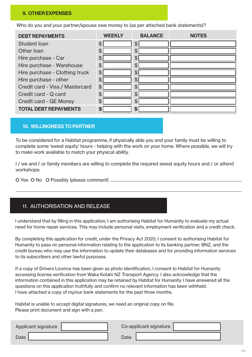#### 9. OTHER EXPENSES

Who do you and your partner/spouse owe money to (as per attached bank statements)?

| <b>DEBT REPAYMENTS</b>          | <b>WFFKI Y</b> | <b>BALANCE</b> | <b>NOTES</b> |
|---------------------------------|----------------|----------------|--------------|
| Student Ioan                    | \$             | \$             |              |
| Other Ioan                      | \$             | \$             |              |
| Hire purchase - Car             | \$             | \$             |              |
| Hire purchase - Warehouse       | \$             | $\mathfrak{P}$ |              |
| Hire purchase - Clothing truck  | \$             | \$             |              |
| Hire purchase - other           | \$             | $\mathfrak{F}$ |              |
| Credit card - Visa / Mastercard | \$             | \$             |              |
| Credit card - Q card            | \$             | \$             |              |
| Credit card - GE Money          | \$             | \$             |              |
| <b>TOTAL DEBT REPAYMENTS</b>    | \$             | \$             |              |

#### 10. WILLINGNESS TO PARTNER

To be considered for a Habitat programme, if physically able you and your family must be willing to complete some 'sweat equity' hours - helping with the work on your home. Where possible, we will try to make work available to match your physical ability.

I / we and / or family members are willing to complete the required sweat equity hours and / or attend workshops:

.................................................................................................................................................................................................................................

o Yes o No o Possibly (please comment) ...................................................................................................................................

#### 11. AUTHORISATION AND RELEASE

I understand that by filling in this application, I am authorising Habitat for Humanity to evaluate my actual need for home repair services. This may include personal visits, employment verification and a credit check.

By completing this application for credit, under the Privacy Act 2020, I consent to authorising Habitat for Humanity to pass on personal information relating to the application to its banking partner, BNZ, and the credit bureau who may use the information to update their databases and for providing information services to its subscribers and other lawful purposes.

If a copy of Drivers Licence has been given as photo identification, I consent to Habitat for Humanity accessing license verification from Waka Kotahi NZ Transport Agency. I also acknowledge that the information contained in this application may be retained by Habitat for Humanity. I have answered all the questions on this application truthfully and confirm no relevant information has been withheld. I have attached a copy of my/our bank statements for the past three months.

Habitat is unable to accept digital signatures, we need an original copy on file. Please print document and sign with a pen.

| Applicant signature |      | Co-applicant signature |  |
|---------------------|------|------------------------|--|
| <b>Date</b>         | Date |                        |  |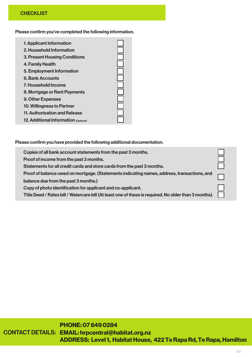#### **CHECKLIST**

Please confirm you've completed the following information.

| 1. Applicant Information                     |  |
|----------------------------------------------|--|
| 2. Household Information                     |  |
| <b>3. Present Housing Conditions</b>         |  |
| 4. Family Health                             |  |
| 5. Employment Information                    |  |
| <b>6. Bank Accounts</b>                      |  |
| 7. Household Income                          |  |
| 8. Mortgage or Rent Payments                 |  |
| <b>9. Other Expenses</b>                     |  |
| 10. Willingness to Partner                   |  |
| 11. Authorisation and Release                |  |
| <b>12. Additional Information (Optional)</b> |  |

Please confirm you have provided the following additional documentation.

| Copies of all bank account statements from the past 3 months.                                         |  |
|-------------------------------------------------------------------------------------------------------|--|
| Proof of income from the past 3 months.                                                               |  |
| Statements for all credit cards and store cards from the past 3 months.                               |  |
| Proof of balance owed on mortgage. (Statements indicating names, address, transactions, and           |  |
| balance due from the past 3 months.)                                                                  |  |
| Copy of photo identification for applicant and co-applicant.                                          |  |
| Title Deed / Rates bill / Watercare bill (At least one of these is required. No older than 3 months). |  |

### PHONE: 07 849 0284

CONTACT DETAILS: EMAIL: hrpcentral@habitat.org.nz ADDRESS: Level 1, Habitat House, 422 Te Rapa Rd, Te Rapa, Hamilton